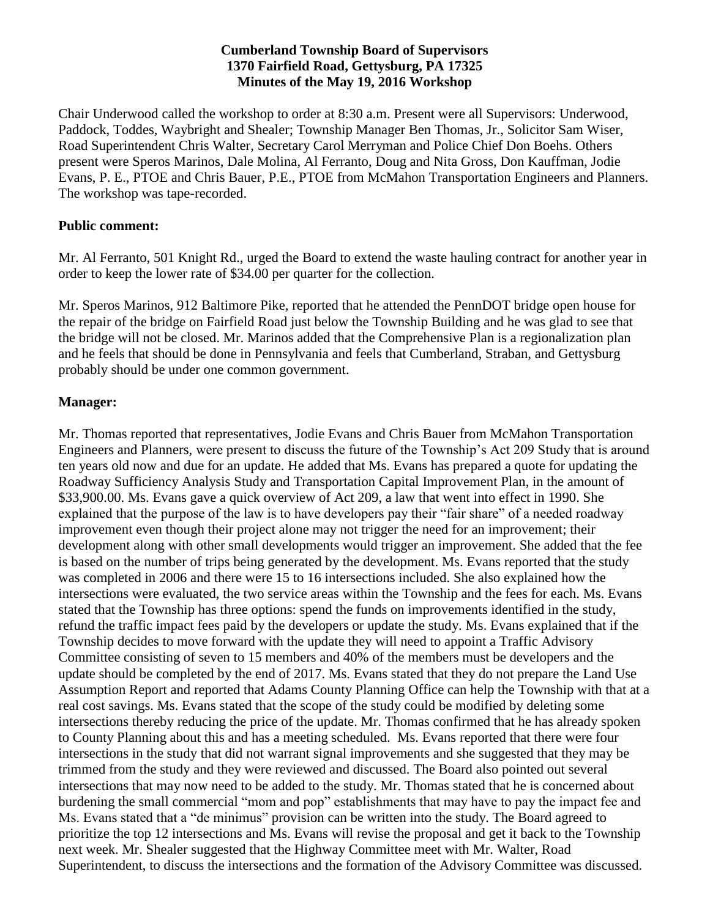## **Cumberland Township Board of Supervisors 1370 Fairfield Road, Gettysburg, PA 17325 Minutes of the May 19, 2016 Workshop**

Chair Underwood called the workshop to order at 8:30 a.m. Present were all Supervisors: Underwood, Paddock, Toddes, Waybright and Shealer; Township Manager Ben Thomas, Jr., Solicitor Sam Wiser, Road Superintendent Chris Walter, Secretary Carol Merryman and Police Chief Don Boehs. Others present were Speros Marinos, Dale Molina, Al Ferranto, Doug and Nita Gross, Don Kauffman, Jodie Evans, P. E., PTOE and Chris Bauer, P.E., PTOE from McMahon Transportation Engineers and Planners. The workshop was tape-recorded.

## **Public comment:**

Mr. Al Ferranto, 501 Knight Rd., urged the Board to extend the waste hauling contract for another year in order to keep the lower rate of \$34.00 per quarter for the collection.

Mr. Speros Marinos, 912 Baltimore Pike, reported that he attended the PennDOT bridge open house for the repair of the bridge on Fairfield Road just below the Township Building and he was glad to see that the bridge will not be closed. Mr. Marinos added that the Comprehensive Plan is a regionalization plan and he feels that should be done in Pennsylvania and feels that Cumberland, Straban, and Gettysburg probably should be under one common government.

## **Manager:**

Mr. Thomas reported that representatives, Jodie Evans and Chris Bauer from McMahon Transportation Engineers and Planners, were present to discuss the future of the Township's Act 209 Study that is around ten years old now and due for an update. He added that Ms. Evans has prepared a quote for updating the Roadway Sufficiency Analysis Study and Transportation Capital Improvement Plan, in the amount of \$33,900.00. Ms. Evans gave a quick overview of Act 209, a law that went into effect in 1990. She explained that the purpose of the law is to have developers pay their "fair share" of a needed roadway improvement even though their project alone may not trigger the need for an improvement; their development along with other small developments would trigger an improvement. She added that the fee is based on the number of trips being generated by the development. Ms. Evans reported that the study was completed in 2006 and there were 15 to 16 intersections included. She also explained how the intersections were evaluated, the two service areas within the Township and the fees for each. Ms. Evans stated that the Township has three options: spend the funds on improvements identified in the study, refund the traffic impact fees paid by the developers or update the study. Ms. Evans explained that if the Township decides to move forward with the update they will need to appoint a Traffic Advisory Committee consisting of seven to 15 members and 40% of the members must be developers and the update should be completed by the end of 2017. Ms. Evans stated that they do not prepare the Land Use Assumption Report and reported that Adams County Planning Office can help the Township with that at a real cost savings. Ms. Evans stated that the scope of the study could be modified by deleting some intersections thereby reducing the price of the update. Mr. Thomas confirmed that he has already spoken to County Planning about this and has a meeting scheduled. Ms. Evans reported that there were four intersections in the study that did not warrant signal improvements and she suggested that they may be trimmed from the study and they were reviewed and discussed. The Board also pointed out several intersections that may now need to be added to the study. Mr. Thomas stated that he is concerned about burdening the small commercial "mom and pop" establishments that may have to pay the impact fee and Ms. Evans stated that a "de minimus" provision can be written into the study. The Board agreed to prioritize the top 12 intersections and Ms. Evans will revise the proposal and get it back to the Township next week. Mr. Shealer suggested that the Highway Committee meet with Mr. Walter, Road Superintendent, to discuss the intersections and the formation of the Advisory Committee was discussed.